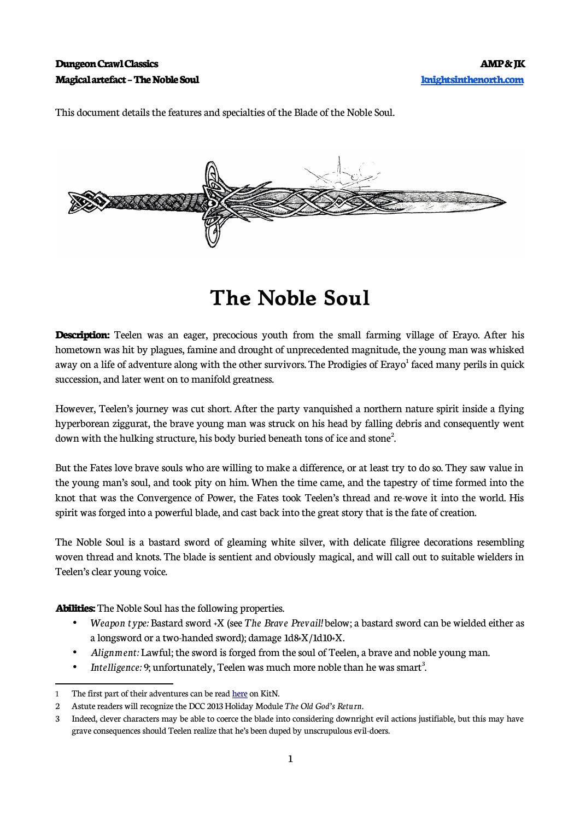This document details the features and specialties of the Blade of the Noble Soul.



## **The Noble Soul**

**Description:** Teelen was an eager, precocious youth from the small farming village of Erayo. After his hometown was hit by plagues, famine and drought of unprecedented magnitude, the young man was whisked away on a life of adventure along with the other survivors. The Prodigies of Erayo $^{\rm l}$  faced many perils in quick succession, and later went on to manifold greatness.

However, Teelen's journey was cut short. After the party vanquished a northern nature spirit inside a flying hyperborean ziggurat, the brave young man was struck on his head by falling debris and consequently went down with the hulking structure, his body buried beneath tons of ice and stone<sup>[2](#page-0-1)</sup>. .

But the Fates love brave souls who are willing to make a difference, or at least try to do so. They saw value in the young man's soul, and took pity on him. When the time came, and the tapestry of time formed into the knot that was the Convergence of Power, the Fates took Teelen's thread and re-wove it into the world. His spirit was forged into a powerful blade, and cast back into the great story that is the fate of creation.

The Noble Soul is a bastard sword of gleaming white silver, with delicate filigree decorations resembling woven thread and knots. The blade is sentient and obviously magical, and will call out to suitable wielders in Teelen's clear young voice.

**Abilities:** The Noble Soul has the following properties.

- *Weapon type:* Bastard sword +X (see *The Brave Prevail!* below; a bastard sword can be wielded either as a longsword or a two-handed sword); damage 1d8+X/1d10+X.
- *Alignment:* Lawful; the sword is forged from the soul of Teelen, a brave and noble young man.
- Intelligence: 9; unfortunately, Teelen was much more noble than he was smart<sup>[3](#page-0-2)</sup>. .

<span id="page-0-0"></span><sup>1</sup> The first part of their adventures can be read [here](https://knightsinthenorth.blog/2018/05/11/the-chronicle-of-erayo/) on KitN.

<span id="page-0-1"></span><sup>2</sup> Astute readers will recognize the DCC 2013 Holiday Module *The Old God's Return.*

<span id="page-0-2"></span><sup>3</sup> Indeed, clever characters may be able to coerce the blade into considering downright evil actions justifiable, but this may have grave consequences should Teelen realize that he's been duped by unscrupulous evil-doers.